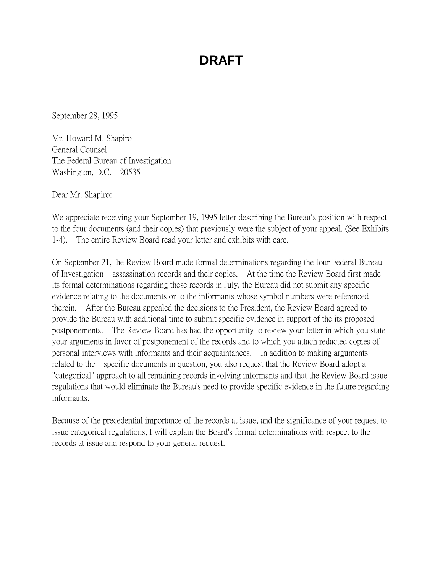September 28, 1995

Mr. Howard M. Shapiro General Counsel The Federal Bureau of Investigation Washington, D.C. 20535

Dear Mr. Shapiro:

We appreciate receiving your September 19, 1995 letter describing the Bureau's position with respect to the four documents (and their copies) that previously were the subject of your appeal. (See Exhibits 1-4). The entire Review Board read your letter and exhibits with care.

On September 21, the Review Board made formal determinations regarding the four Federal Bureau of Investigation assassination records and their copies. At the time the Review Board first made its formal determinations regarding these records in July, the Bureau did not submit any specific evidence relating to the documents or to the informants whose symbol numbers were referenced therein. After the Bureau appealed the decisions to the President, the Review Board agreed to provide the Bureau with additional time to submit specific evidence in support of the its proposed postponements. The Review Board has had the opportunity to review your letter in which you state your arguments in favor of postponement of the records and to which you attach redacted copies of personal interviews with informants and their acquaintances. In addition to making arguments related to the specific documents in question, you also request that the Review Board adopt a "categorical" approach to all remaining records involving informants and that the Review Board issue regulations that would eliminate the Bureau's need to provide specific evidence in the future regarding informants.

Because of the precedential importance of the records at issue, and the significance of your request to issue categorical regulations, I will explain the Board's formal determinations with respect to the records at issue and respond to your general request.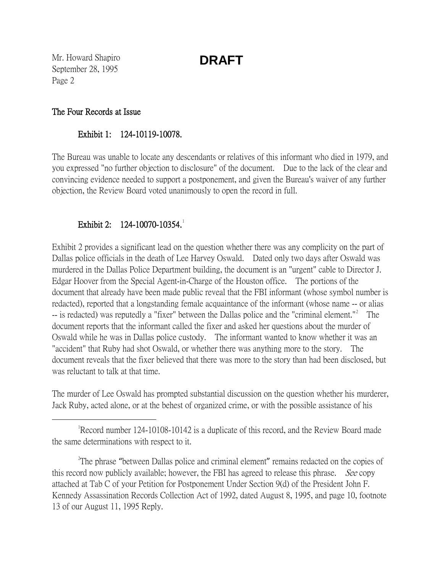Mr. Howard Shapiro September 28, 1995 Page 2

#### The Four Records at Issue

#### Exhibit 1: 124-10119-10078.

The Bureau was unable to locate any descendants or relatives of this informant who died in 1979, and you expressed "no further objection to disclosure" of the document. Due to the lack of the clear and convincing evidence needed to support a postponement, and given the Bureau's waiver of any further objection, the Review Board voted unanimously to open the record in full.

### Exhibit 2: [1](#page-1-0)24-10070-10354.

Exhibit 2 provides a significant lead on the question whether there was any complicity on the part of Dallas police officials in the death of Lee Harvey Oswald. Dated only two days after Oswald was murdered in the Dallas Police Department building, the document is an "urgent" cable to Director J. Edgar Hoover from the Special Agent-in-Charge of the Houston office. The portions of the document that already have been made public reveal that the FBI informant (whose symbol number is redacted), reported that a longstanding female acquaintance of the informant (whose name -- or alias -- is redacted) was reputedly a "fixer" between the Dallas police and the "criminal element."<sup>[2](#page-1-1)</sup> The document reports that the informant called the fixer and asked her questions about the murder of Oswald while he was in Dallas police custody. The informant wanted to know whether it was an "accident" that Ruby had shot Oswald, or whether there was anything more to the story. The document reveals that the fixer believed that there was more to the story than had been disclosed, but was reluctant to talk at that time.

The murder of Lee Oswald has prompted substantial discussion on the question whether his murderer, Jack Ruby, acted alone, or at the behest of organized crime, or with the possible assistance of his

<span id="page-1-0"></span> $\overline{\phantom{a}}$ Record number 124-10108-10142 is a duplicate of this record, and the Review Board made the same determinations with respect to it.

<span id="page-1-1"></span><sup>2</sup>The phrase "between Dallas police and criminal element" remains redacted on the copies of this record now publicly available; however, the FBI has agreed to release this phrase. *See* copy attached at Tab C of your Petition for Postponement Under Section 9(d) of the President John F. Kennedy Assassination Records Collection Act of 1992, dated August 8, 1995, and page 10, footnote 13 of our August 11, 1995 Reply.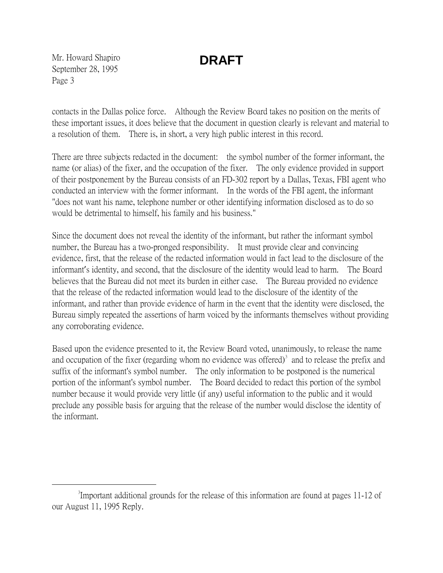Mr. Howard Shapiro September 28, 1995 Page 3

contacts in the Dallas police force. Although the Review Board takes no position on the merits of these important issues, it does believe that the document in question clearly is relevant and material to a resolution of them. There is, in short, a very high public interest in this record.

There are three subjects redacted in the document: the symbol number of the former informant, the name (or alias) of the fixer, and the occupation of the fixer. The only evidence provided in support of their postponement by the Bureau consists of an FD-302 report by a Dallas, Texas, FBI agent who conducted an interview with the former informant. In the words of the FBI agent, the informant "does not want his name, telephone number or other identifying information disclosed as to do so would be detrimental to himself, his family and his business."

Since the document does not reveal the identity of the informant, but rather the informant symbol number, the Bureau has a two-pronged responsibility. It must provide clear and convincing evidence, first, that the release of the redacted information would in fact lead to the disclosure of the informant's identity, and second, that the disclosure of the identity would lead to harm. The Board believes that the Bureau did not meet its burden in either case. The Bureau provided no evidence that the release of the redacted information would lead to the disclosure of the identity of the informant, and rather than provide evidence of harm in the event that the identity were disclosed, the Bureau simply repeated the assertions of harm voiced by the informants themselves without providing any corroborating evidence.

Based upon the evidence presented to it, the Review Board voted, unanimously, to release the name and occupation of the fixer (regarding whom no evidence was offered) $\delta$  and to release the prefix and suffix of the informant's symbol number. The only information to be postponed is the numerical portion of the informant's symbol number. The Board decided to redact this portion of the symbol number because it would provide very little (if any) useful information to the public and it would preclude any possible basis for arguing that the release of the number would disclose the identity of the informant.

<span id="page-2-0"></span> $\frac{1}{3}$ Important additional grounds for the release of this information are found at pages 11-12 of our August 11, 1995 Reply.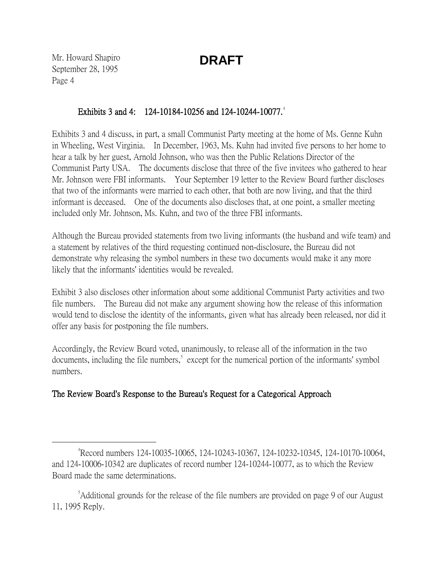Mr. Howard Shapiro September 28, 1995 Page 4

### Exhibits 3 and [4](#page-3-0): 124-10184-10256 and 124-10244-10077.<sup>4</sup>

Exhibits 3 and 4 discuss, in part, a small Communist Party meeting at the home of Ms. Genne Kuhn in Wheeling, West Virginia. In December, 1963, Ms. Kuhn had invited five persons to her home to hear a talk by her guest, Arnold Johnson, who was then the Public Relations Director of the Communist Party USA. The documents disclose that three of the five invitees who gathered to hear Mr. Johnson were FBI informants. Your September 19 letter to the Review Board further discloses that two of the informants were married to each other, that both are now living, and that the third informant is deceased. One of the documents also discloses that, at one point, a smaller meeting included only Mr. Johnson, Ms. Kuhn, and two of the three FBI informants.

Although the Bureau provided statements from two living informants (the husband and wife team) and a statement by relatives of the third requesting continued non-disclosure, the Bureau did not demonstrate why releasing the symbol numbers in these two documents would make it any more likely that the informants' identities would be revealed.

Exhibit 3 also discloses other information about some additional Communist Party activities and two file numbers. The Bureau did not make any argument showing how the release of this information would tend to disclose the identity of the informants, given what has already been released, nor did it offer any basis for postponing the file numbers.

Accordingly, the Review Board voted, unanimously, to release all of the information in the two documents, including the file numbers,<sup>[5](#page-3-1)</sup> except for the numerical portion of the informants' symbol numbers.

### The Review Board's Response to the Bureau's Request for a Categorical Approach

<span id="page-3-0"></span> $\frac{1}{4}$ Record numbers 124-10035-10065, 124-10243-10367, 124-10232-10345, 124-10170-10064, and 124-10006-10342 are duplicates of record number 124-10244-10077, as to which the Review Board made the same determinations.

<span id="page-3-1"></span><sup>&</sup>lt;sup>5</sup>Additional grounds for the release of the file numbers are provided on page 9 of our August 11, 1995 Reply.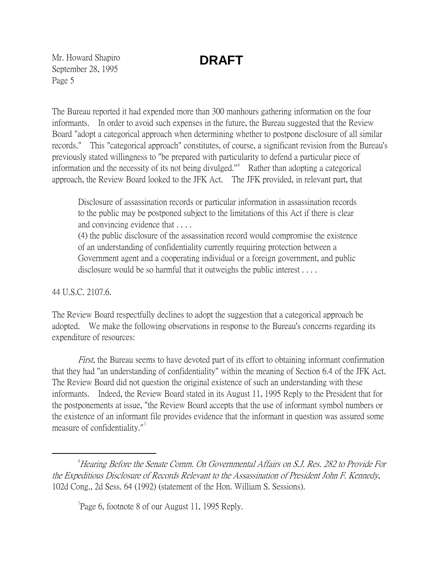Mr. Howard Shapiro September 28, 1995 Page 5

The Bureau reported it had expended more than 300 manhours gathering information on the four informants. In order to avoid such expenses in the future, the Bureau suggested that the Review Board "adopt a categorical approach when determining whether to postpone disclosure of all similar records." This "categorical approach" constitutes, of course, a significant revision from the Bureau's previously stated willingness to "be prepared with particularity to defend a particular piece of information and the necessity of its not being divulged."[6](#page-4-0) Rather than adopting a categorical approach, the Review Board looked to the JFK Act. The JFK provided, in relevant part, that

Disclosure of assassination records or particular information in assassination records to the public may be postponed subject to the limitations of this Act if there is clear and convincing evidence that . . . .

(4) the public disclosure of the assassination record would compromise the existence of an understanding of confidentiality currently requiring protection between a Government agent and a cooperating individual or a foreign government, and public disclosure would be so harmful that it outweighs the public interest . . . .

44 U.S.C. 2107.6.

The Review Board respectfully declines to adopt the suggestion that a categorical approach be adopted. We make the following observations in response to the Bureau's concerns regarding its expenditure of resources:

First, the Bureau seems to have devoted part of its effort to obtaining informant confirmation that they had "an understanding of confidentiality" within the meaning of Section 6.4 of the JFK Act. The Review Board did not question the original existence of such an understanding with these informants. Indeed, the Review Board stated in its August 11, 1995 Reply to the President that for the postponements at issue, "the Review Board accepts that the use of informant symbol numbers or the existence of an informant file provides evidence that the informant in question was assured some measure of confidentiality." $\frac{1}{2}$ 

 $T$ Page 6, footnote 8 of our August 11, 1995 Reply.

<span id="page-4-1"></span><span id="page-4-0"></span> $\overline{\phantom{a}}$  $\degree$ Hearing Before the Senate Comm. On Governmental Affairs on S.J. Res. 282 to Provide For the Expeditious Disclosure of Records Relevant to the Assassination of President John F. Kennedy, 102d Cong., 2d Sess. 64 (1992) (statement of the Hon. William S. Sessions).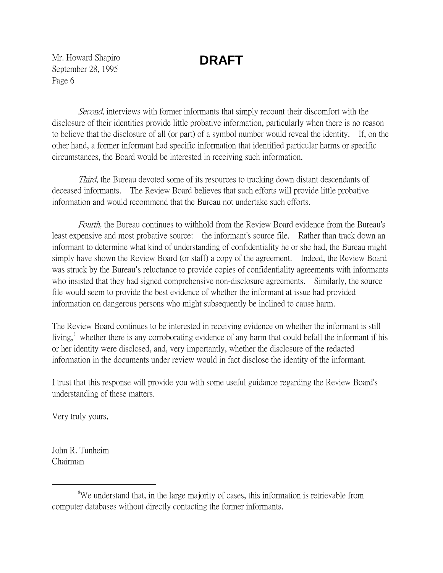Mr. Howard Shapiro September 28, 1995 Page 6

Second, interviews with former informants that simply recount their discomfort with the disclosure of their identities provide little probative information, particularly when there is no reason to believe that the disclosure of all (or part) of a symbol number would reveal the identity. If, on the other hand, a former informant had specific information that identified particular harms or specific circumstances, the Board would be interested in receiving such information.

*Third*, the Bureau devoted some of its resources to tracking down distant descendants of deceased informants. The Review Board believes that such efforts will provide little probative information and would recommend that the Bureau not undertake such efforts.

Fourth, the Bureau continues to withhold from the Review Board evidence from the Bureau's least expensive and most probative source: the informant's source file. Rather than track down an informant to determine what kind of understanding of confidentiality he or she had, the Bureau might simply have shown the Review Board (or staff) a copy of the agreement. Indeed, the Review Board was struck by the Bureau's reluctance to provide copies of confidentiality agreements with informants who insisted that they had signed comprehensive non-disclosure agreements. Similarly, the source file would seem to provide the best evidence of whether the informant at issue had provided information on dangerous persons who might subsequently be inclined to cause harm.

The Review Board continues to be interested in receiving evidence on whether the informant is still living,<sup>[8](#page-5-0)</sup> whether there is any corroborating evidence of any harm that could befall the informant if his or her identity were disclosed, and, very importantly, whether the disclosure of the redacted information in the documents under review would in fact disclose the identity of the informant.

I trust that this response will provide you with some useful guidance regarding the Review Board's understanding of these matters.

Very truly yours,

John R. Tunheim Chairman

<span id="page-5-0"></span> <sup>8</sup> We understand that, in the large majority of cases, this information is retrievable from computer databases without directly contacting the former informants.